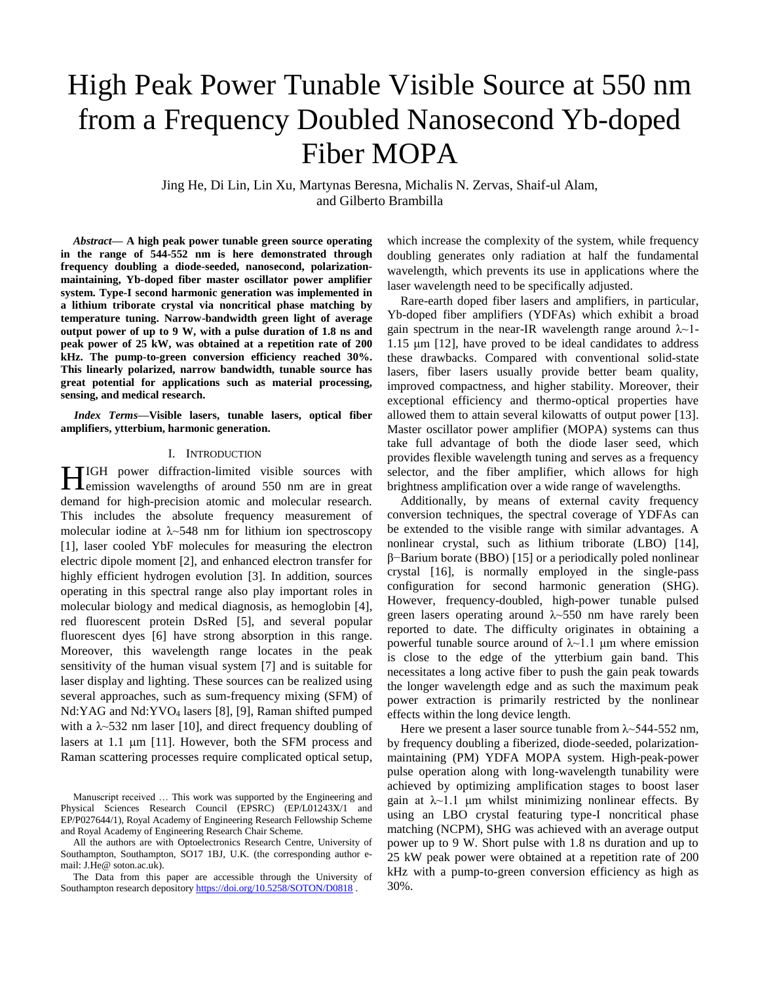# High Peak Power Tunable Visible Source at 550 nm from a Frequency Doubled Nanosecond Yb-doped Fiber MOPA

Jing He, Di Lin, Lin Xu, Martynas Beresna, Michalis N. Zervas, Shaif-ul Alam, and Gilberto Brambilla

*Abstract***— A high peak power tunable green source operating in the range of 544-552 nm is here demonstrated through frequency doubling a diode-seeded, nanosecond, polarizationmaintaining, Yb-doped fiber master oscillator power amplifier system. Type-I second harmonic generation was implemented in a lithium triborate crystal via noncritical phase matching by temperature tuning. Narrow-bandwidth green light of average output power of up to 9 W, with a pulse duration of 1.8 ns and peak power of 25 kW, was obtained at a repetition rate of 200 kHz. The pump-to-green conversion efficiency reached 30%. This linearly polarized, narrow bandwidth, tunable source has great potential for applications such as material processing, sensing, and medical research.**

*Index Terms***—Visible lasers, tunable lasers, optical fiber amplifiers, ytterbium, harmonic generation.**

#### I. INTRODUCTION

IGH power diffraction-limited visible sources with HIGH power diffraction-limited visible sources with<br>
emission wavelengths of around 550 nm are in great demand for high-precision atomic and molecular research. This includes the absolute frequency measurement of molecular iodine at  $\lambda$  -548 nm for lithium ion spectroscopy [1], laser cooled YbF molecules for measuring the electron electric dipole moment [2], and enhanced electron transfer for highly efficient hydrogen evolution [3]. In addition, sources operating in this spectral range also play important roles in molecular biology and medical diagnosis, as hemoglobin [4], red fluorescent protein DsRed [5], and several popular fluorescent dyes [6] have strong absorption in this range. Moreover, this wavelength range locates in the peak sensitivity of the human visual system [7] and is suitable for laser display and lighting. These sources can be realized using several approaches, such as sum-frequency mixing (SFM) of Nd:YAG and Nd:YVO<sup>4</sup> lasers [8], [9], Raman shifted pumped with a  $\lambda$  -532 nm laser [10], and direct frequency doubling of lasers at 1.1  $\mu$ m [11]. However, both the SFM process and Raman scattering processes require complicated optical setup,

which increase the complexity of the system, while frequency doubling generates only radiation at half the fundamental wavelength, which prevents its use in applications where the laser wavelength need to be specifically adjusted.

Rare-earth doped fiber lasers and amplifiers, in particular, Yb-doped fiber amplifiers (YDFAs) which exhibit a broad gain spectrum in the near-IR wavelength range around  $\lambda$ -1-1.15 μm [12], have proved to be ideal candidates to address these drawbacks. Compared with conventional solid-state lasers, fiber lasers usually provide better beam quality, improved compactness, and higher stability. Moreover, their exceptional efficiency and thermo-optical properties have allowed them to attain several kilowatts of output power [13]. Master oscillator power amplifier (MOPA) systems can thus take full advantage of both the diode laser seed, which provides flexible wavelength tuning and serves as a frequency selector, and the fiber amplifier, which allows for high brightness amplification over a wide range of wavelengths.

Additionally, by means of external cavity frequency conversion techniques, the spectral coverage of YDFAs can be extended to the visible range with similar advantages. A nonlinear crystal, such as lithium triborate (LBO) [14], β−Barium borate (BBO) [15] or a periodically poled nonlinear crystal [16], is normally employed in the single-pass configuration for second harmonic generation (SHG). However, frequency-doubled, high-power tunable pulsed green lasers operating around  $\lambda$ ~550 nm have rarely been reported to date. The difficulty originates in obtaining a powerful tunable source around of  $\lambda$  -1.1 μm where emission is close to the edge of the ytterbium gain band. This necessitates a long active fiber to push the gain peak towards the longer wavelength edge and as such the maximum peak power extraction is primarily restricted by the nonlinear effects within the long device length.

Here we present a laser source tunable from  $\lambda$  -544-552 nm, by frequency doubling a fiberized, diode-seeded, polarizationmaintaining (PM) YDFA MOPA system. High-peak-power pulse operation along with long-wavelength tunability were achieved by optimizing amplification stages to boost laser gain at  $\lambda$ ~1.1 µm whilst minimizing nonlinear effects. By using an LBO crystal featuring type-I noncritical phase matching (NCPM), SHG was achieved with an average output power up to 9 W. Short pulse with 1.8 ns duration and up to 25 kW peak power were obtained at a repetition rate of 200 kHz with a pump-to-green conversion efficiency as high as 30%.

Manuscript received … This work was supported by the Engineering and Physical Sciences Research Council (EPSRC) (EP/L01243X/1 and EP/P027644/1), Royal Academy of Engineering Research Fellowship Scheme and Royal Academy of Engineering Research Chair Scheme.

All the authors are with Optoelectronics Research Centre, University of Southampton, Southampton, SO17 1BJ, U.K. (the corresponding author email: J.He@ soton.ac.uk).

The Data from this paper are accessible through the University of Southampton research depositor[y https://doi.org/10.5258/SOTON/D0818](https://doi.org/10.5258/SOTON/D0818).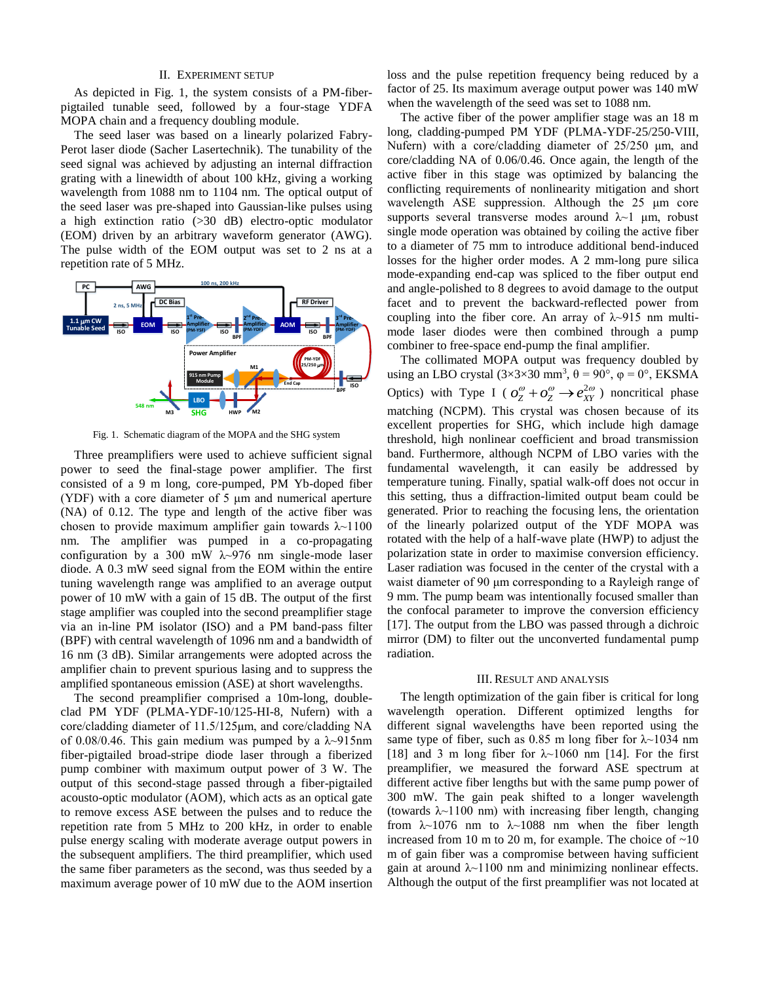## II. EXPERIMENT SETUP

As depicted in Fig. 1, the system consists of a PM-fiberpigtailed tunable seed, followed by a four-stage YDFA MOPA chain and a frequency doubling module.

The seed laser was based on a linearly polarized Fabry-Perot laser diode (Sacher Lasertechnik). The tunability of the seed signal was achieved by adjusting an internal diffraction grating with a linewidth of about 100 kHz, giving a working wavelength from 1088 nm to 1104 nm. The optical output of the seed laser was pre-shaped into Gaussian-like pulses using a high extinction ratio (>30 dB) electro-optic modulator (EOM) driven by an arbitrary waveform generator (AWG). The pulse width of the EOM output was set to 2 ns at a repetition rate of 5 MHz.



Fig. 1. Schematic diagram of the MOPA and the SHG system

Three preamplifiers were used to achieve sufficient signal power to seed the final-stage power amplifier. The first consisted of a 9 m long, core-pumped, PM Yb-doped fiber (YDF) with a core diameter of 5 μm and numerical aperture (NA) of 0.12. The type and length of the active fiber was chosen to provide maximum amplifier gain towards  $\lambda$ ~1100 nm. The amplifier was pumped in a co-propagating configuration by a 300 mW  $\lambda$ ~976 nm single-mode laser diode. A 0.3 mW seed signal from the EOM within the entire tuning wavelength range was amplified to an average output power of 10 mW with a gain of 15 dB. The output of the first stage amplifier was coupled into the second preamplifier stage via an in-line PM isolator (ISO) and a PM band-pass filter (BPF) with central wavelength of 1096 nm and a bandwidth of 16 nm (3 dB). Similar arrangements were adopted across the amplifier chain to prevent spurious lasing and to suppress the amplified spontaneous emission (ASE) at short wavelengths.

The second preamplifier comprised a 10m-long, doubleclad PM YDF (PLMA-YDF-10/125-HI-8, Nufern) with a core/cladding diameter of 11.5/125μm, and core/cladding NA of 0.08/0.46. This gain medium was pumped by a  $\lambda$ -915nm fiber-pigtailed broad-stripe diode laser through a fiberized pump combiner with maximum output power of 3 W. The output of this second-stage passed through a fiber-pigtailed acousto-optic modulator (AOM), which acts as an optical gate to remove excess ASE between the pulses and to reduce the repetition rate from 5 MHz to 200 kHz, in order to enable pulse energy scaling with moderate average output powers in the subsequent amplifiers. The third preamplifier, which used the same fiber parameters as the second, was thus seeded by a maximum average power of 10 mW due to the AOM insertion loss and the pulse repetition frequency being reduced by a factor of 25. Its maximum average output power was 140 mW when the wavelength of the seed was set to 1088 nm.

The active fiber of the power amplifier stage was an 18 m long, cladding-pumped PM YDF (PLMA-YDF-25/250-VIII, Nufern) with a core/cladding diameter of 25/250 μm, and core/cladding NA of 0.06/0.46. Once again, the length of the active fiber in this stage was optimized by balancing the conflicting requirements of nonlinearity mitigation and short wavelength ASE suppression. Although the 25 μm core supports several transverse modes around  $\lambda$ ~1 µm, robust single mode operation was obtained by coiling the active fiber to a diameter of 75 mm to introduce additional bend-induced losses for the higher order modes. A 2 mm-long pure silica mode-expanding end-cap was spliced to the fiber output end and angle-polished to 8 degrees to avoid damage to the output facet and to prevent the backward-reflected power from coupling into the fiber core. An array of  $\lambda$  –915 nm multimode laser diodes were then combined through a pump combiner to free-space end-pump the final amplifier.

The collimated MOPA output was frequency doubled by using an LBO crystal  $(3\times3\times30 \text{ mm}^3, \theta = 90^\circ, \phi = 0^\circ, EK SMA$ Optics) with Type I ( $o_Z^{\omega} + o_Z^{\omega} \rightarrow e_{XY}^{2\omega}$ ) noncritical phase matching (NCPM). This crystal was chosen because of its excellent properties for SHG, which include high damage threshold, high nonlinear coefficient and broad transmission band. Furthermore, although NCPM of LBO varies with the fundamental wavelength, it can easily be addressed by temperature tuning. Finally, spatial walk-off does not occur in this setting, thus a diffraction-limited output beam could be generated. Prior to reaching the focusing lens, the orientation of the linearly polarized output of the YDF MOPA was rotated with the help of a half-wave plate (HWP) to adjust the polarization state in order to maximise conversion efficiency. Laser radiation was focused in the center of the crystal with a waist diameter of 90 μm corresponding to a Rayleigh range of 9 mm. The pump beam was intentionally focused smaller than the confocal parameter to improve the conversion efficiency [17]. The output from the LBO was passed through a dichroic mirror (DM) to filter out the unconverted fundamental pump radiation.

## III. RESULT AND ANALYSIS

The length optimization of the gain fiber is critical for long wavelength operation. Different optimized lengths for different signal wavelengths have been reported using the same type of fiber, such as 0.85 m long fiber for  $\lambda$  -1034 nm [18] and 3 m long fiber for  $\lambda$  1060 nm [14]. For the first preamplifier, we measured the forward ASE spectrum at different active fiber lengths but with the same pump power of 300 mW. The gain peak shifted to a longer wavelength (towards  $\lambda$ ~1100 nm) with increasing fiber length, changing from  $\lambda$ ~1076 nm to  $\lambda$ ~1088 nm when the fiber length increased from 10 m to 20 m, for example. The choice of  $\sim$ 10 m of gain fiber was a compromise between having sufficient gain at around  $\lambda$  1100 nm and minimizing nonlinear effects. Although the output of the first preamplifier was not located at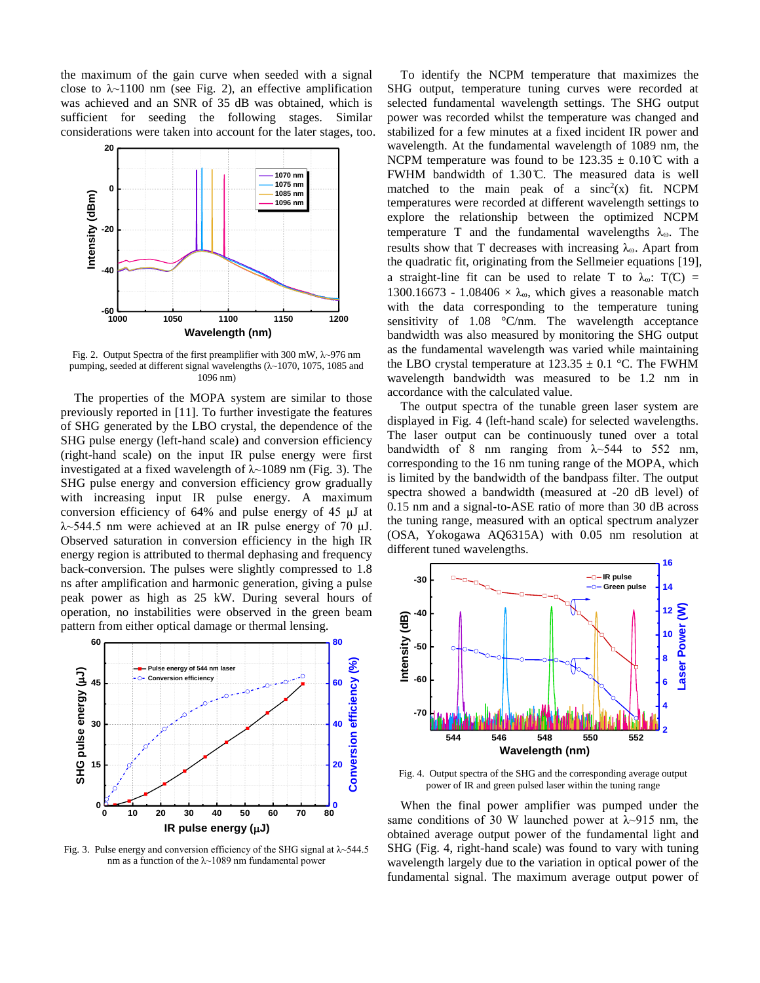the maximum of the gain curve when seeded with a signal close to  $\lambda$ ~1100 nm (see Fig. 2), an effective amplification was achieved and an SNR of 35 dB was obtained, which is sufficient for seeding the following stages. Similar considerations were taken into account for the later stages, too.



Fig. 2. Output Spectra of the first preamplifier with 300 mW, λ~976 nm pumping, seeded at different signal wavelengths (λ~1070, 1075, 1085 and 1096 nm)

The properties of the MOPA system are similar to those previously reported in [11]. To further investigate the features of SHG generated by the LBO crystal, the dependence of the SHG pulse energy (left-hand scale) and conversion efficiency (right-hand scale) on the input IR pulse energy were first investigated at a fixed wavelength of  $\lambda$ ~1089 nm (Fig. 3). The SHG pulse energy and conversion efficiency grow gradually with increasing input IR pulse energy. A maximum conversion efficiency of 64% and pulse energy of 45 μJ at  $\lambda$ ~544.5 nm were achieved at an IR pulse energy of 70  $\mu$ J. Observed saturation in conversion efficiency in the high IR energy region is attributed to thermal dephasing and frequency back-conversion. The pulses were slightly compressed to 1.8 ns after amplification and harmonic generation, giving a pulse peak power as high as 25 kW. During several hours of operation, no instabilities were observed in the green beam pattern from either optical damage or thermal lensing.



Fig. 3. Pulse energy and conversion efficiency of the SHG signal at  $\lambda$  -544.5 nm as a function of the λ~1089 nm fundamental power

To identify the NCPM temperature that maximizes the SHG output, temperature tuning curves were recorded at selected fundamental wavelength settings. The SHG output power was recorded whilst the temperature was changed and stabilized for a few minutes at a fixed incident IR power and wavelength. At the fundamental wavelength of 1089 nm, the NCPM temperature was found to be  $123.35 \pm 0.10 \, \text{C}$  with a FWHM bandwidth of  $1.30 \, \text{C}$ . The measured data is well matched to the main peak of a  $sinc<sup>2</sup>(x)$  fit. NCPM temperatures were recorded at different wavelength settings to explore the relationship between the optimized NCPM temperature T and the fundamental wavelengths  $\lambda_{\omega}$ . The results show that T decreases with increasing  $\lambda_{\omega}$ . Apart from the quadratic fit, originating from the Sellmeier equations [19], a straight-line fit can be used to relate T to  $\lambda_{\omega}$ : T(C) = 1300.16673 - 1.08406  $\times \lambda_{\omega}$ , which gives a reasonable match with the data corresponding to the temperature tuning sensitivity of 1.08 °C/nm. The wavelength acceptance bandwidth was also measured by monitoring the SHG output as the fundamental wavelength was varied while maintaining the LBO crystal temperature at  $123.35 \pm 0.1$  °C. The FWHM wavelength bandwidth was measured to be 1.2 nm in accordance with the calculated value.

The output spectra of the tunable green laser system are displayed in Fig. 4 (left-hand scale) for selected wavelengths. The laser output can be continuously tuned over a total bandwidth of 8 nm ranging from  $\lambda$ ~544 to 552 nm, corresponding to the 16 nm tuning range of the MOPA, which is limited by the bandwidth of the bandpass filter. The output spectra showed a bandwidth (measured at -20 dB level) of 0.15 nm and a signal-to-ASE ratio of more than 30 dB across the tuning range, measured with an optical spectrum analyzer (OSA, Yokogawa AQ6315A) with 0.05 nm resolution at different tuned wavelengths.



Fig. 4. Output spectra of the SHG and the corresponding average output power of IR and green pulsed laser within the tuning range

When the final power amplifier was pumped under the same conditions of 30 W launched power at  $\lambda$ ~915 nm, the obtained average output power of the fundamental light and SHG (Fig. 4, right-hand scale) was found to vary with tuning wavelength largely due to the variation in optical power of the fundamental signal. The maximum average output power of